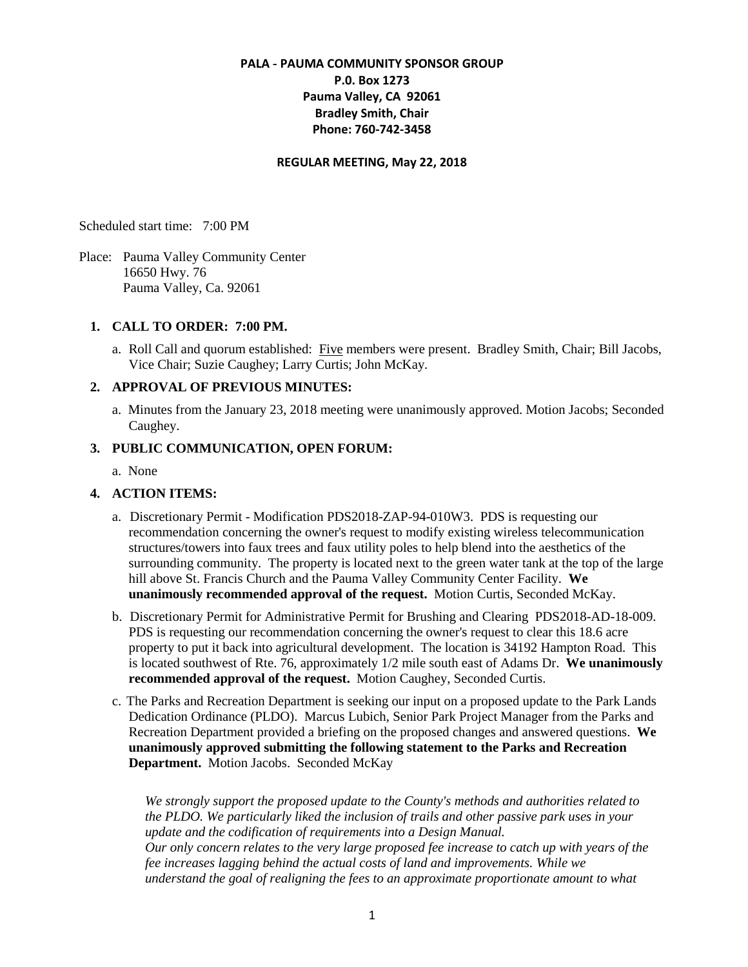# **PALA - PAUMA COMMUNITY SPONSOR GROUP P.0. Box 1273 Pauma Valley, CA 92061 Bradley Smith, Chair Phone: 760-742-3458**

#### **REGULAR MEETING, May 22, 2018**

Scheduled start time: 7:00 PM

Place: Pauma Valley Community Center 16650 Hwy. 76 Pauma Valley, Ca. 92061

#### **1. CALL TO ORDER: 7:00 PM.**

a. Roll Call and quorum established: Five members were present. Bradley Smith, Chair; Bill Jacobs, Vice Chair; Suzie Caughey; Larry Curtis; John McKay.

### **2. APPROVAL OF PREVIOUS MINUTES:**

a. Minutes from the January 23, 2018 meeting were unanimously approved. Motion Jacobs; Seconded Caughey.

#### **3. PUBLIC COMMUNICATION, OPEN FORUM:**

a. None

## **4. ACTION ITEMS:**

- a. Discretionary Permit Modification PDS2018-ZAP-94-010W3. PDS is requesting our recommendation concerning the owner's request to modify existing wireless telecommunication structures/towers into faux trees and faux utility poles to help blend into the aesthetics of the surrounding community. The property is located next to the green water tank at the top of the large hill above St. Francis Church and the Pauma Valley Community Center Facility. **We unanimously recommended approval of the request.** Motion Curtis, Seconded McKay.
- b. Discretionary Permit for Administrative Permit for Brushing and Clearing PDS2018-AD-18-009. PDS is requesting our recommendation concerning the owner's request to clear this 18.6 acre property to put it back into agricultural development. The location is 34192 Hampton Road. This is located southwest of Rte. 76, approximately 1/2 mile south east of Adams Dr. **We unanimously recommended approval of the request.** Motion Caughey, Seconded Curtis.
- c. The Parks and Recreation Department is seeking our input on a proposed update to the Park Lands Dedication Ordinance (PLDO). Marcus Lubich, Senior Park Project Manager from the Parks and Recreation Department provided a briefing on the proposed changes and answered questions. **We unanimously approved submitting the following statement to the Parks and Recreation Department.** Motion Jacobs. Seconded McKay

*We strongly support the proposed update to the County's methods and authorities related to the PLDO. We particularly liked the inclusion of trails and other passive park uses in your update and the codification of requirements into a Design Manual. Our only concern relates to the very large proposed fee increase to catch up with years of the fee increases lagging behind the actual costs of land and improvements. While we understand the goal of realigning the fees to an approximate proportionate amount to what*